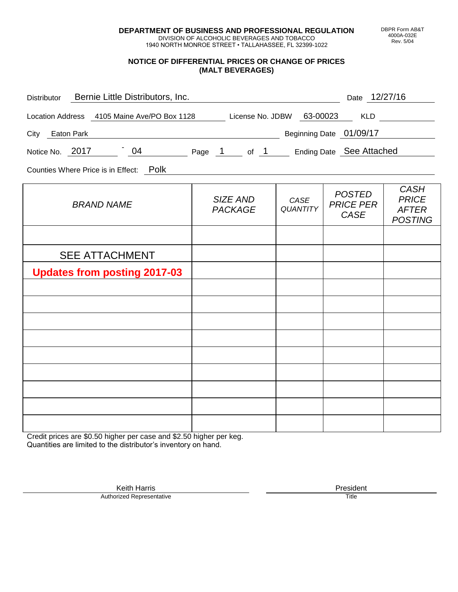**DEPARTMENT OF BUSINESS AND PROFESSIONAL REGULATION** DIVISION OF ALCOHOLIC BEVERAGES AND TOBACCO

1940 NORTH MONROE STREET • TALLAHASSEE, FL 32399-1022

## **NOTICE OF DIFFERENTIAL PRICES OR CHANGE OF PRICES (MALT BEVERAGES)**

| Distributor Bernie Little Distributors, Inc.                              |                            |                         | Date 12/27/16                                    |                                                               |
|---------------------------------------------------------------------------|----------------------------|-------------------------|--------------------------------------------------|---------------------------------------------------------------|
| Location Address 4105 Maine Ave/PO Box 1128 License No. JDBW 63-00023 KLD |                            |                         |                                                  |                                                               |
| City Eaton Park                                                           |                            |                         | Beginning Date 01/09/17                          |                                                               |
| Notice No. 2017 194 Page 1 of 1 Ending Date See Attached                  |                            |                         |                                                  |                                                               |
| Counties Where Price is in Effect: Polk                                   |                            |                         |                                                  |                                                               |
| <b>BRAND NAME</b>                                                         | SIZE AND<br><b>PACKAGE</b> | CASE<br><b>QUANTITY</b> | <b>POSTED</b><br><b>PRICE PER</b><br><b>CASE</b> | <b>CASH</b><br><b>PRICE</b><br><b>AFTER</b><br><b>POSTING</b> |
|                                                                           |                            |                         |                                                  |                                                               |
| <b>SEE ATTACHMENT</b>                                                     |                            |                         |                                                  |                                                               |
| <b>Updates from posting 2017-03</b>                                       |                            |                         |                                                  |                                                               |
|                                                                           |                            |                         |                                                  |                                                               |
|                                                                           |                            |                         |                                                  |                                                               |
|                                                                           |                            |                         |                                                  |                                                               |
|                                                                           |                            |                         |                                                  |                                                               |
|                                                                           |                            |                         |                                                  |                                                               |
|                                                                           |                            |                         |                                                  |                                                               |
|                                                                           |                            |                         |                                                  |                                                               |
|                                                                           |                            |                         |                                                  |                                                               |
|                                                                           |                            |                         |                                                  |                                                               |

Credit prices are \$0.50 higher per case and \$2.50 higher per keg. Quantities are limited to the distributor's inventory on hand.

> Keith Harris **President** President **President** President **President** President **President** Authorized Representative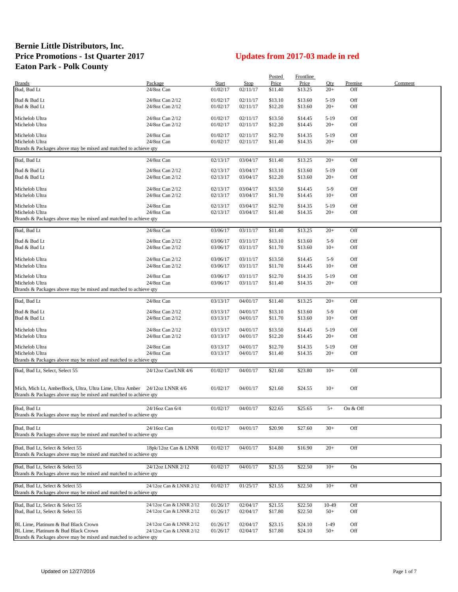## **Bernie Little Distributors, Inc. Price Promotions - 1st Quarter 2017 Updates from 2017-03 made in red Eaton Park - Polk County**

|                                                                           |                         |          |             | Posted              | Frontline |        |            |         |
|---------------------------------------------------------------------------|-------------------------|----------|-------------|---------------------|-----------|--------|------------|---------|
| <b>Brands</b>                                                             | Package                 | Start    | <b>Stop</b> | Price               | Price     | Qty    | Premise    | Comment |
| Bud, Bud Lt                                                               | 24/8oz Can              | 01/02/17 | 02/11/17    | \$11.40             | \$13.25   | $20+$  | Off        |         |
|                                                                           |                         |          |             |                     |           |        |            |         |
| Bud & Bud Lt                                                              | 24/8oz Can 2/12         | 01/02/17 | 02/11/17    | \$13.10             | \$13.60   | $5-19$ | Off        |         |
| Bud & Bud Lt                                                              | 24/8oz Can 2/12         | 01/02/17 | 02/11/17    | \$12.20             | \$13.60   | $20+$  | Off        |         |
| Michelob Ultra                                                            | 24/8oz Can 2/12         | 01/02/17 | 02/11/17    | \$13.50             | \$14.45   | $5-19$ | Off        |         |
| Michelob Ultra                                                            | 24/8oz Can 2/12         | 01/02/17 | 02/11/17    | \$12.20             | \$14.45   | $20+$  | Off        |         |
|                                                                           |                         |          |             |                     |           |        |            |         |
| Michelob Ultra                                                            | 24/8oz Can              | 01/02/17 | 02/11/17    | \$12.70             | \$14.35   | $5-19$ | Off        |         |
| Michelob Ultra                                                            | 24/8oz Can              | 01/02/17 | 02/11/17    | \$11.40             | \$14.35   | $20+$  | Off        |         |
| Brands & Packages above may be mixed and matched to achieve qty           |                         |          |             |                     |           |        |            |         |
|                                                                           |                         |          |             |                     |           |        |            |         |
| Bud, Bud Lt                                                               | 24/8oz Can              | 02/13/17 | 03/04/17    | \$11.40             | \$13.25   | $20+$  | Off        |         |
| Bud & Bud Lt                                                              | 24/8oz Can 2/12         | 02/13/17 | 03/04/17    | \$13.10             | \$13.60   | $5-19$ | Off        |         |
| Bud & Bud Lt                                                              | 24/8oz Can 2/12         | 02/13/17 | 03/04/17    | \$12.20             | \$13.60   | $20+$  | Off        |         |
|                                                                           |                         |          |             |                     |           |        |            |         |
| Michelob Ultra                                                            | 24/8oz Can 2/12         | 02/13/17 | 03/04/17    | \$13.50             | \$14.45   | $5-9$  | Off        |         |
| Michelob Ultra                                                            | 24/8oz Can 2/12         | 02/13/17 | 03/04/17    | \$11.70             | \$14.45   | $10+$  | Off        |         |
|                                                                           |                         |          |             |                     |           |        |            |         |
| Michelob Ultra                                                            | 24/8oz Can              | 02/13/17 | 03/04/17    | \$12.70             | \$14.35   | $5-19$ | Off        |         |
| Michelob Ultra                                                            | 24/8oz Can              | 02/13/17 | 03/04/17    | \$11.40             | \$14.35   | $20+$  | Off        |         |
| Brands & Packages above may be mixed and matched to achieve qty           |                         |          |             |                     |           |        |            |         |
| Bud, Bud Lt                                                               | 24/8oz Can              | 03/06/17 | 03/11/17    | \$11.40             | \$13.25   | $20+$  | Off        |         |
|                                                                           |                         |          |             |                     |           |        |            |         |
| Bud & Bud Lt                                                              | 24/8oz Can 2/12         | 03/06/17 | 03/11/17    | \$13.10             | \$13.60   | $5-9$  | Off        |         |
| Bud & Bud Lt                                                              | 24/8oz Can 2/12         | 03/06/17 | 03/11/17    | \$11.70             | \$13.60   | $10+$  | Off        |         |
|                                                                           |                         |          |             |                     |           |        |            |         |
| Michelob Ultra                                                            | 24/8oz Can 2/12         | 03/06/17 | 03/11/17    | \$13.50             | \$14.45   | $5-9$  | Off        |         |
| Michelob Ultra                                                            | 24/8oz Can 2/12         | 03/06/17 | 03/11/17    | \$11.70             | \$14.45   | $10+$  | Off        |         |
| Michelob Ultra                                                            | 24/8oz Can              | 03/06/17 | 03/11/17    | \$12.70             | \$14.35   | $5-19$ | Off        |         |
| Michelob Ultra                                                            | 24/8oz Can              | 03/06/17 | 03/11/17    | \$11.40             | \$14.35   | $20+$  | Off        |         |
| Brands & Packages above may be mixed and matched to achieve qty           |                         |          |             |                     |           |        |            |         |
|                                                                           |                         |          |             |                     |           |        |            |         |
| Bud, Bud Lt                                                               | 24/8oz Can              | 03/13/17 | 04/01/17    | \$11.40             | \$13.25   | $20+$  | Off        |         |
|                                                                           |                         |          |             |                     |           |        |            |         |
| Bud & Bud Lt                                                              | 24/8oz Can 2/12         | 03/13/17 | 04/01/17    | \$13.10             | \$13.60   | $5-9$  | Off        |         |
| Bud & Bud Lt                                                              | 24/8oz Can 2/12         | 03/13/17 | 04/01/17    | \$11.70             | \$13.60   | $10+$  | Off        |         |
|                                                                           |                         |          |             |                     |           |        |            |         |
| Michelob Ultra                                                            | 24/8oz Can 2/12         | 03/13/17 | 04/01/17    | \$13.50             | \$14.45   | $5-19$ | Off        |         |
| Michelob Ultra                                                            | 24/8oz Can 2/12         | 03/13/17 | 04/01/17    | \$12.20             | \$14.45   | $20+$  | Off        |         |
| Michelob Ultra                                                            | 24/8oz Can              | 03/13/17 | 04/01/17    | \$12.70             | \$14.35   | $5-19$ | Off        |         |
| Michelob Ultra                                                            | 24/8oz Can              | 03/13/17 | 04/01/17    | \$11.40             | \$14.35   | $20+$  | Off        |         |
| Brands & Packages above may be mixed and matched to achieve qty           |                         |          |             |                     |           |        |            |         |
|                                                                           |                         |          |             |                     |           |        |            |         |
| Bud, Bud Lt, Select, Select 55                                            | 24/12oz Can/LNR 4/6     | 01/02/17 | 04/01/17    | \$21.60             | \$23.80   | $10+$  | Off        |         |
|                                                                           |                         |          |             |                     |           |        |            |         |
| Mich, Mich Lt, AmberBock, Ultra, Ultra Lime, Ultra Amber 24/12oz LNNR 4/6 |                         | 01/02/17 | 04/01/17    | \$21.60             | \$24.55   | $10+$  | Off        |         |
| Brands & Packages above may be mixed and matched to achieve qty           |                         |          |             |                     |           |        |            |         |
|                                                                           |                         |          |             |                     |           |        |            |         |
| Bud, Bud Lt                                                               | 24/16oz Can 6/4         | 01/02/17 |             |                     | \$25.65   | $5+$   | On $&$ Off |         |
|                                                                           |                         |          | 04/01/17    | $\overline{$}22.65$ |           |        |            |         |
| Brands & Packages above may be mixed and matched to achieve qty           |                         |          |             |                     |           |        |            |         |
| Bud, Bud Lt                                                               | 24/16oz Can             | 01/02/17 | 04/01/17    | \$20.90             | \$27.60   | $30+$  | Off        |         |
| Brands & Packages above may be mixed and matched to achieve qty           |                         |          |             |                     |           |        |            |         |
|                                                                           |                         |          |             |                     |           |        |            |         |
| Bud, Bud Lt, Select & Select 55                                           | 18pk/12oz Can & LNNR    | 01/02/17 | 04/01/17    | \$14.80             | \$16.90   | $20+$  | Off        |         |
| Brands & Packages above may be mixed and matched to achieve qty           |                         |          |             |                     |           |        |            |         |
|                                                                           |                         |          |             |                     |           |        |            |         |
| Bud, Bud Lt, Select & Select 55                                           | 24/12oz LNNR 2/12       | 01/02/17 | 04/01/17    | \$21.55             | \$22.50   | $10+$  | On         |         |
| Brands & Packages above may be mixed and matched to achieve qty           |                         |          |             |                     |           |        |            |         |
|                                                                           |                         |          |             |                     |           |        |            |         |
| Bud, Bud Lt, Select & Select 55                                           | 24/12oz Can & LNNR 2/12 | 01/02/17 | 01/25/17    | \$21.55             | \$22.50   | $10+$  | Off        |         |
| Brands & Packages above may be mixed and matched to achieve qty           |                         |          |             |                     |           |        |            |         |
|                                                                           |                         |          |             |                     |           |        |            |         |
| Bud, Bud Lt, Select & Select 55                                           | 24/12oz Can & LNNR 2/12 | 01/26/17 | 02/04/17    | \$21.55             | \$22.50   | 10-49  | Off        |         |
| Bud, Bud Lt, Select & Select 55                                           | 24/12oz Can & LNNR 2/12 | 01/26/17 | 02/04/17    | \$17.80             | \$22.50   | $50+$  | Off        |         |
|                                                                           |                         |          |             |                     |           |        |            |         |
| BL Lime, Platinum & Bud Black Crown                                       | 24/12oz Can & LNNR 2/12 | 01/26/17 | 02/04/17    | \$23.15             | \$24.10   | $1-49$ | Off        |         |
| BL Lime, Platinum & Bud Black Crown                                       | 24/12oz Can & LNNR 2/12 | 01/26/17 | 02/04/17    | \$17.80             | \$24.10   | $50+$  | Off        |         |
| Brands & Packages above may be mixed and matched to achieve qty           |                         |          |             |                     |           |        |            |         |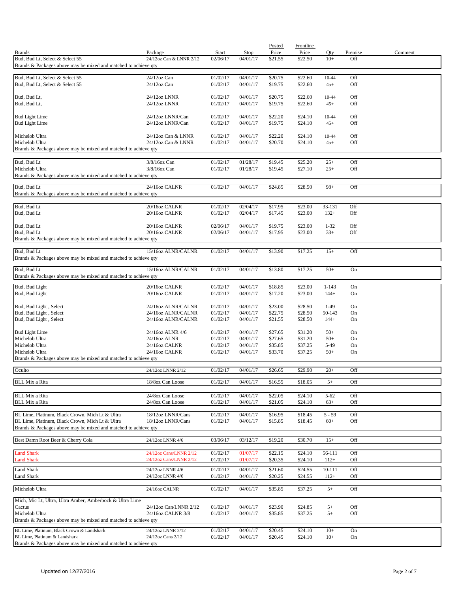|                                                                 |                                          |                      |                      | Posted             | <b>Frontline</b>   |                  |            |         |
|-----------------------------------------------------------------|------------------------------------------|----------------------|----------------------|--------------------|--------------------|------------------|------------|---------|
| <b>Brands</b>                                                   | Package                                  | Start                | Stop                 | Price              | Price              | Qty              | Premise    | Comment |
| Bud, Bud Lt, Select & Select 55                                 | 24/12oz Can & LNNR 2/12                  | 02/06/17             | 04/01/17             | \$21.55            | \$22.50            | $10+$            | Off        |         |
| Brands & Packages above may be mixed and matched to achieve qty |                                          |                      |                      |                    |                    |                  |            |         |
| Bud, Bud Lt, Select & Select 55                                 | 24/12oz Can                              | 01/02/17             | 04/01/17             | \$20.75            | \$22.60            | 10-44            | Off        |         |
| Bud, Bud Lt, Select & Select 55                                 | 24/12oz Can                              | 01/02/17             | 04/01/17             | \$19.75            | \$22.60            | $45+$            | Off        |         |
|                                                                 |                                          |                      |                      |                    |                    |                  |            |         |
| Bud, Bud Lt,                                                    | 24/12oz LNNR                             | 01/02/17             | 04/01/17             | \$20.75            | \$22.60            | 10-44            | Off        |         |
| Bud, Bud Lt,                                                    | 24/12oz LNNR                             | 01/02/17             | 04/01/17             | \$19.75            | \$22.60            | $45+$            | Off        |         |
|                                                                 |                                          |                      |                      |                    |                    |                  |            |         |
| <b>Bud Light Lime</b>                                           | 24/12oz LNNR/Can                         | 01/02/17             | 04/01/17             | \$22.20            | \$24.10            | 10-44            | Off        |         |
| <b>Bud Light Lime</b>                                           | 24/12oz LNNR/Can                         | 01/02/17             | 04/01/17             | \$19.75            | \$24.10            | $45+$            | Off        |         |
|                                                                 |                                          |                      |                      |                    |                    |                  |            |         |
| Michelob Ultra<br>Michelob Ultra                                | 24/12oz Can & LNNR<br>24/12oz Can & LNNR | 01/02/17<br>01/02/17 | 04/01/17<br>04/01/17 | \$22.20<br>\$20.70 | \$24.10<br>\$24.10 | 10-44<br>$45+$   | Off<br>Off |         |
| Brands & Packages above may be mixed and matched to achieve qty |                                          |                      |                      |                    |                    |                  |            |         |
|                                                                 |                                          |                      |                      |                    |                    |                  |            |         |
| Bud, Bud Lt                                                     | 3/8/16oz Can                             | 01/02/17             | 01/28/17             | \$19.45            | \$25.20            | $25+$            | Off        |         |
| Michelob Ultra                                                  | 3/8/16oz Can                             | 01/02/17             | 01/28/17             | \$19.45            | \$27.10            | $25+$            | Off        |         |
| Brands & Packages above may be mixed and matched to achieve qty |                                          |                      |                      |                    |                    |                  |            |         |
|                                                                 |                                          |                      |                      |                    |                    |                  |            |         |
| Bud, Bud Lt                                                     | 24/16oz CALNR                            | 01/02/17             | 04/01/17             | \$24.85            | \$28.50            | $98+$            | Off        |         |
| Brands & Packages above may be mixed and matched to achieve qty |                                          |                      |                      |                    |                    |                  |            |         |
| Bud, Bud Lt                                                     | 20/16oz CALNR                            | 01/02/17             | 02/04/17             | \$17.95            | \$23.00            | 33-131           | Off        |         |
| Bud, Bud Lt                                                     | 20/16oz CALNR                            | 01/02/17             | 02/04/17             | \$17.45            | \$23.00            | $132+$           | Off        |         |
|                                                                 |                                          |                      |                      |                    |                    |                  |            |         |
| Bud, Bud Lt                                                     | 20/16oz CALNR                            | 02/06/17             | 04/01/17             | \$19.75            | \$23.00            | $1 - 32$         | Off        |         |
| Bud, Bud Lt                                                     | 20/16oz CALNR                            | 02/06/17             | 04/01/17             | \$17.95            | \$23.00            | $33+$            | Off        |         |
| Brands & Packages above may be mixed and matched to achieve qty |                                          |                      |                      |                    |                    |                  |            |         |
|                                                                 |                                          |                      |                      |                    |                    |                  |            |         |
| Bud, Bud Lt                                                     | 15/16oz ALNR/CALNR                       | 01/02/17             | 04/01/17             | \$13.90            | \$17.25            | $15+$            | Off        |         |
| Brands & Packages above may be mixed and matched to achieve qty |                                          |                      |                      |                    |                    |                  |            |         |
| Bud, Bud Lt                                                     | 15/16oz ALNR/CALNR                       | 01/02/17             | 04/01/17             | \$13.80            | \$17.25            | $50+$            | On         |         |
| Brands & Packages above may be mixed and matched to achieve qty |                                          |                      |                      |                    |                    |                  |            |         |
|                                                                 |                                          |                      |                      |                    |                    |                  |            |         |
| Bud, Bud Light                                                  | 20/16oz CALNR                            | 01/02/17             | 04/01/17             | \$18.85            | \$23.00            | $1 - 143$        | On         |         |
| Bud, Bud Light                                                  | 20/16oz CALNR                            | 01/02/17             | 04/01/17             | \$17.20            | \$23.00            | $144+$           | On         |         |
|                                                                 |                                          |                      |                      |                    |                    |                  |            |         |
| Bud, Bud Light, Select                                          | 24/16oz ALNR/CALNR                       | 01/02/17             | 04/01/17             | \$23.00            | \$28.50            | $1-49$           | On         |         |
| Bud, Bud Light, Select<br>Bud, Bud Light, Select                | 24/16oz ALNR/CALNR<br>24/16oz ALNR/CALNR | 01/02/17<br>01/02/17 | 04/01/17<br>04/01/17 | \$22.75<br>\$21.55 | \$28.50<br>\$28.50 | 50-143<br>$144+$ | On<br>On   |         |
|                                                                 |                                          |                      |                      |                    |                    |                  |            |         |
| <b>Bud Light Lime</b>                                           | 24/16oz ALNR 4/6                         | 01/02/17             | 04/01/17             | \$27.65            | \$31.20            | $50+$            | On         |         |
| Michelob Ultra                                                  | 24/16oz ALNR                             | 01/02/17             | 04/01/17             | \$27.65            | \$31.20            | $50+$            | On         |         |
| Michelob Ultra                                                  | 24/16oz CALNR                            | 01/02/17             | 04/01/17             | \$35.85            | \$37.25            | 5-49             | On         |         |
| Michelob Ultra                                                  | 24/16oz CALNR                            | 01/02/17             | 04/01/17             | \$33.70            | \$37.25            | $50+$            | On         |         |
| Brands & Packages above may be mixed and matched to achieve qty |                                          |                      |                      |                    |                    |                  |            |         |
|                                                                 |                                          |                      |                      |                    |                    |                  |            |         |
| Oculto                                                          | 24/12oz LNNR 2/12                        | 01/02/17             | 04/01/17             | \$26.65            | \$29.90            | $20+$            | Off        |         |
| <b>BLL Mix a Rita</b>                                           | 18/80z Can Loose                         | 01/02/17             | 04/01/17             | \$16.55            | \$18.05            | $5+$             | Off        |         |
|                                                                 |                                          |                      |                      |                    |                    |                  |            |         |
| <b>BLL Mix a Rita</b>                                           | 24/8oz Can Loose                         | 01/02/17             | 04/01/17             | \$22.05            | \$24.10            | $5 - 62$         | Off        |         |
| <b>BLL Mix a Rita</b>                                           | 24/8oz Can Loose                         | 01/02/17             | 04/01/17             | \$21.05            | \$24.10            | $63+$            | Off        |         |
|                                                                 |                                          |                      |                      |                    |                    |                  |            |         |
| BL Lime, Platinum, Black Crown, Mich Lt & Ultra                 | 18/12oz LNNR/Cans                        | 01/02/17             | 04/01/17             | \$16.95            | \$18.45            | $5 - 59$         | Off        |         |
| BL Lime, Platinum, Black Crown, Mich Lt & Ultra                 | 18/12oz LNNR/Cans                        | 01/02/17             | 04/01/17             | \$15.85            | \$18.45            | $60+$            | Off        |         |
| Brands & Packages above may be mixed and matched to achieve qty |                                          |                      |                      |                    |                    |                  |            |         |
| Best Damn Root Beer & Cherry Cola                               | 24/12oz LNNR 4/6                         | 03/06/17             | 03/12/17             | \$19.20            | \$30.70            | $15+$            | Off        |         |
|                                                                 |                                          |                      |                      |                    |                    |                  |            |         |
| <b>Land Shark</b>                                               | 24/12oz Cans/LNNR 2/12                   | 01/02/17             | 01/07/17             | \$22.15            | \$24.10            | 56-111           | Off        |         |
| <b>Land Shark</b>                                               | 24/12oz Cans/LNNR 2/12                   | 01/02/17             | 01/07/17             | \$20.35            | \$24.10            | $112+$           | Off        |         |
|                                                                 |                                          |                      |                      |                    |                    |                  |            |         |
| Land Shark                                                      | 24/12oz LNNR 4/6                         | 01/02/17             | 04/01/17             | \$21.60            | \$24.55            | 10-111           | Off        |         |
| Land Shark                                                      | 24/12oz LNNR 4/6                         | 01/02/17             | 04/01/17             | \$20.25            | \$24.55            | $112+$           | Off        |         |
| Michelob Ultra                                                  | 24/16oz CALNR                            | 01/02/17             | 04/01/17             | \$35.85            | \$37.25            | $5+$             | Off        |         |
|                                                                 |                                          |                      |                      |                    |                    |                  |            |         |
| Mich, Mic Lt, Ultra, Ultra Amber, Amberbock & Ultra Lime        |                                          |                      |                      |                    |                    |                  |            |         |
| Cactus                                                          | 24/12oz Can/LNNR 2/12                    | 01/02/17             | 04/01/17             | \$23.90            | \$24.85            | $5+$             | Off        |         |
| Michelob Ultra                                                  | 24/16oz CALNR 3/8                        | 01/02/17             | 04/01/17             | \$35.85            | \$37.25            | $5+$             | Off        |         |
| Brands & Packages above may be mixed and matched to achieve qty |                                          |                      |                      |                    |                    |                  |            |         |
| BL Lime, Platinum, Black Crown & Landshark                      | 24/12oz LNNR 2/12                        | 01/02/17             | 04/01/17             | \$20.45            | \$24.10            | $10+$            | On         |         |
| BL Lime, Platinum & Landshark                                   | 24/12oz Cans 2/12                        | 01/02/17             | 04/01/17             | \$20.45            | \$24.10            | $10+$            | On         |         |
| Brands & Packages above may be mixed and matched to achieve qty |                                          |                      |                      |                    |                    |                  |            |         |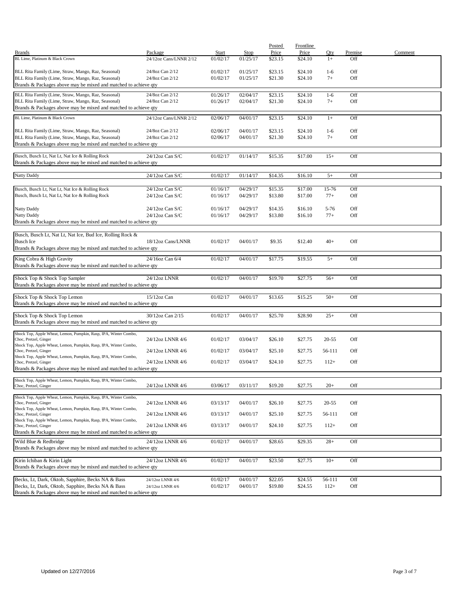|                                                                                                |                        |          |          | Posted  | Frontline |           |         |         |
|------------------------------------------------------------------------------------------------|------------------------|----------|----------|---------|-----------|-----------|---------|---------|
| <b>Brands</b>                                                                                  | Package                | Start    | Stop     | Price   | Price     | Oty       | Premise | Comment |
| BL Lime, Platinum & Black Crown                                                                | 24/12oz Cans/LNNR 2/12 | 01/02/17 | 01/25/17 | \$23.15 | \$24.10   | $1+$      | Off     |         |
| BLL Rita Family (Lime, Straw, Mango, Raz, Seasonal)                                            | 24/8oz Can 2/12        | 01/02/17 | 01/25/17 | \$23.15 | \$24.10   | $1 - 6$   | Off     |         |
| BLL Rita Family (Lime, Straw, Mango, Raz, Seasonal)                                            | 24/8oz Can 2/12        | 01/02/17 | 01/25/17 | \$21.30 | \$24.10   | $7+$      | Off     |         |
| Brands & Packages above may be mixed and matched to achieve qty                                |                        |          |          |         |           |           |         |         |
| BLL Rita Family (Lime, Straw, Mango, Raz, Seasonal)                                            | 24/8oz Can 2/12        | 01/26/17 | 02/04/17 | \$23.15 | \$24.10   | $1-6$     | Off     |         |
| BLL Rita Family (Lime, Straw, Mango, Raz, Seasonal)                                            | 24/8oz Can 2/12        | 01/26/17 | 02/04/17 | \$21.30 | \$24.10   | $7+$      | Off     |         |
| Brands & Packages above may be mixed and matched to achieve qty                                |                        |          |          |         |           |           |         |         |
|                                                                                                | 24/12oz Cans/LNNR 2/12 |          |          |         |           |           |         |         |
| BL Lime, Platinum & Black Crown                                                                |                        | 02/06/17 | 04/01/17 | \$23.15 | \$24.10   | $1+$      | Off     |         |
| BLL Rita Family (Lime, Straw, Mango, Raz, Seasonal)                                            | 24/8oz Can 2/12        | 02/06/17 | 04/01/17 | \$23.15 | \$24.10   | $1 - 6$   | Off     |         |
| BLL Rita Family (Lime, Straw, Mango, Raz, Seasonal)                                            | 24/8oz Can 2/12        | 02/06/17 | 04/01/17 | \$21.30 | \$24.10   | $7+$      | Off     |         |
| Brands & Packages above may be mixed and matched to achieve qty                                |                        |          |          |         |           |           |         |         |
|                                                                                                |                        |          |          |         |           |           |         |         |
| Busch, Busch Lt, Nat Lt, Nat Ice & Rolling Rock                                                | 24/12oz Can S/C        | 01/02/17 | 01/14/17 | \$15.35 | \$17.00   | $15+$     | Off     |         |
| Brands & Packages above may be mixed and matched to achieve qty                                |                        |          |          |         |           |           |         |         |
| <b>Natty Daddy</b>                                                                             | 24/12oz Can S/C        | 01/02/17 | 01/14/17 | \$14.35 | \$16.10   | $5+$      | Off     |         |
|                                                                                                |                        |          |          |         |           |           |         |         |
| Busch, Busch Lt, Nat Lt, Nat Ice & Rolling Rock                                                | 24/12oz Can S/C        | 01/16/17 | 04/29/17 | \$15.35 | \$17.00   | 15-76     | Off     |         |
| Busch, Busch Lt, Nat Lt, Nat Ice & Rolling Rock                                                | 24/12oz Can S/C        | 01/16/17 | 04/29/17 | \$13.80 | \$17.00   | $77+$     | Off     |         |
|                                                                                                |                        |          |          |         |           |           |         |         |
| Natty Daddy                                                                                    | 24/12oz Can S/C        | 01/16/17 | 04/29/17 | \$14.35 | \$16.10   | $5 - 76$  | Off     |         |
| Natty Daddy                                                                                    | 24/12oz Can S/C        | 01/16/17 | 04/29/17 | \$13.80 | \$16.10   | $77+$     | Off     |         |
| Brands & Packages above may be mixed and matched to achieve qty                                |                        |          |          |         |           |           |         |         |
| Busch, Busch Lt, Nat Lt, Nat Ice, Bud Ice, Rolling Rock &                                      |                        |          |          |         |           |           |         |         |
| <b>Busch Ice</b>                                                                               | 18/12oz Cans/LNNR      | 01/02/17 | 04/01/17 | \$9.35  | \$12.40   | $40+$     | Off     |         |
| Brands & Packages above may be mixed and matched to achieve qty                                |                        |          |          |         |           |           |         |         |
|                                                                                                | 24/16oz Can 6/4        | 01/02/17 | 04/01/17 | \$17.75 |           | $5+$      | Off     |         |
| King Cobra & High Gravity<br>Brands & Packages above may be mixed and matched to achieve qty   |                        |          |          |         | \$19.55   |           |         |         |
|                                                                                                |                        |          |          |         |           |           |         |         |
| Shock Top & Shock Top Sampler                                                                  | 24/12oz LNNR           | 01/02/17 | 04/01/17 | \$19.70 | \$27.75   | $56+$     | Off     |         |
| Brands & Packages above may be mixed and matched to achieve qty                                |                        |          |          |         |           |           |         |         |
|                                                                                                |                        |          |          |         |           |           |         |         |
| Shock Top & Shock Top Lemon<br>Brands & Packages above may be mixed and matched to achieve qty | $15/12$ oz Can         | 01/02/17 | 04/01/17 | \$13.65 | \$15.25   | $50+$     | Off     |         |
|                                                                                                |                        |          |          |         |           |           |         |         |
| Shock Top & Shock Top Lemon                                                                    | 30/12oz Can 2/15       | 01/02/17 | 04/01/17 | \$25.70 | \$28.90   | $25+$     | Off     |         |
| Brands & Packages above may be mixed and matched to achieve qty                                |                        |          |          |         |           |           |         |         |
| Shock Top, Apple Wheat, Lemon, Pumpkin, Rasp, IPA, Winter Combo,                               |                        |          |          |         |           |           |         |         |
| Choc, Pretzel, Ginger                                                                          | 24/12oz LNNR 4/6       | 01/02/17 | 03/04/17 | \$26.10 | \$27.75   | $20 - 55$ | Off     |         |
| Shock Top, Apple Wheat, Lemon, Pumpkin, Rasp, IPA, Winter Combo,                               |                        |          |          |         |           |           |         |         |
| Choc, Pretzel, Ginger                                                                          | 24/12oz LNNR 4/6       | 01/02/17 | 03/04/17 | \$25.10 | \$27.75   | 56-111    | Off     |         |
| Shock Top, Apple Wheat, Lemon, Pumpkin, Rasp, IPA, Winter Combo,<br>Choc, Pretzel, Ginger      | 24/12oz LNNR 4/6       | 01/02/17 | 03/04/17 | \$24.10 | \$27.75   | $112+$    | Off     |         |
| Brands & Packages above may be mixed and matched to achieve qty                                |                        |          |          |         |           |           |         |         |
|                                                                                                |                        |          |          |         |           |           |         |         |
| Shock Top, Apple Wheat, Lemon, Pumpkin, Rasp, IPA, Winter Combo,<br>Choc, Pretzel, Ginger      | 24/12oz LNNR 4/6       | 03/06/17 | 03/11/17 | \$19.20 | \$27.75   | $20+$     | Off     |         |
|                                                                                                |                        |          |          |         |           |           |         |         |
| Shock Top, Apple Wheat, Lemon, Pumpkin, Rasp, IPA, Winter Combo,                               |                        |          |          |         |           |           |         |         |
| Choc, Pretzel, Ginger<br>Shock Top, Apple Wheat, Lemon, Pumpkin, Rasp, IPA, Winter Combo,      | 24/12oz LNNR 4/6       | 03/13/17 | 04/01/17 | \$26.10 | \$27.75   | $20 - 55$ | Off     |         |
| Choc, Pretzel, Ginger                                                                          | 24/12oz LNNR 4/6       | 03/13/17 | 04/01/17 | \$25.10 | \$27.75   | 56-111    | Off     |         |
| Shock Top, Apple Wheat, Lemon, Pumpkin, Rasp, IPA, Winter Combo,                               |                        |          |          |         |           |           |         |         |
| Choc, Pretzel, Ginger                                                                          | 24/12oz LNNR 4/6       | 03/13/17 | 04/01/17 | \$24.10 | \$27.75   | $112+$    | Off     |         |
| Brands & Packages above may be mixed and matched to achieve qty                                |                        |          |          |         |           |           |         |         |
| Wild Blue & Redbridge                                                                          | 24/12oz LNNR 4/6       | 01/02/17 | 04/01/17 | \$28.65 | \$29.35   | $28+$     | Off     |         |
| Brands & Packages above may be mixed and matched to achieve qty                                |                        |          |          |         |           |           |         |         |
|                                                                                                |                        |          | 04/01/17 |         |           |           |         |         |
| Kirin Ichiban & Kirin Light<br>Brands & Packages above may be mixed and matched to achieve qty | 24/12oz LNNR 4/6       | 01/02/17 |          | \$23.50 | \$27.75   | $10+$     | Off     |         |
|                                                                                                |                        |          |          |         |           |           |         |         |
| Becks, Lt, Dark, Oktob, Sapphire, Becks NA & Bass                                              | 24/12oz LNNR 4/6       | 01/02/17 | 04/01/17 | \$22.05 | \$24.55   | 56-111    | Off     |         |
| Becks, Lt, Dark, Oktob, Sapphire, Becks NA & Bass                                              | 24/12oz LNNR 4/6       | 01/02/17 | 04/01/17 | \$19.80 | \$24.55   | $112+$    | Off     |         |
| Brands & Packages above may be mixed and matched to achieve qty                                |                        |          |          |         |           |           |         |         |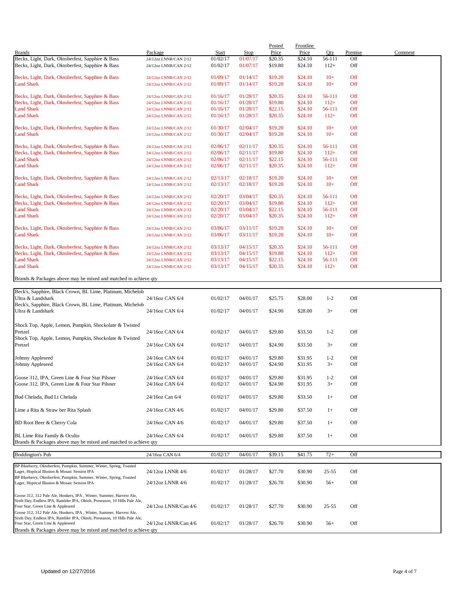| <b>Brands</b>                                                                                   | Package                                        | Start    | Stop     | Posted<br>Price | <b>Frontline</b><br>Price | Oty       | Premise    | Comment |
|-------------------------------------------------------------------------------------------------|------------------------------------------------|----------|----------|-----------------|---------------------------|-----------|------------|---------|
| Becks, Light, Dark, Oktoberfest, Sapphire & Bass                                                | 24/12oz LNNR/CAN 2/12                          | 01/02/17 | 01/07/17 | \$20.35         | \$24.10                   | 56-111    | Off        |         |
| Becks, Light, Dark, Oktoberfest, Sapphire & Bass                                                | 24/12oz LNNR/CAN 2/12                          | 01/02/17 | 01/07/17 | \$19.80         | \$24.10                   | $112+$    | Off        |         |
| Becks, Light, Dark, Oktoberfest, Sapphire & Bass                                                | 24/12oz LNNR/CAN 2/12                          | 01/09/17 | 01/14/17 | \$19.20         | \$24.10                   | $10+$     | Off        |         |
| <b>Land Shark</b>                                                                               | 24/12oz LNNR/CAN 2/12                          | 01/09/17 | 01/14/17 | \$19.20         | \$24.10                   | $10+$     | Off        |         |
| Becks, Light, Dark, Oktoberfest, Sapphire & Bass                                                | 24/12oz LNNR/CAN 2/12                          | 01/16/17 | 01/28/17 | \$20.35         | \$24.10                   | 56-111    | Off        |         |
| Becks, Light, Dark, Oktoberfest, Sapphire & Bass                                                | 24/12oz LNNR/CAN 2/12                          | 01/16/17 | 01/28/17 | \$19.80         | \$24.10                   | $112+$    | Off        |         |
| <b>Land Shark</b>                                                                               | 24/12oz LNNR/CAN 2/12                          | 01/16/17 | 01/28/17 | \$22.15         | \$24.10                   | 56-111    | Off        |         |
| <b>Land Shark</b>                                                                               | 24/12oz LNNR/CAN 2/12                          | 01/16/17 | 01/28/17 | \$20.35         | \$24.10                   | $112+$    | Off        |         |
| Becks, Light, Dark, Oktoberfest, Sapphire & Bass                                                | 24/12oz LNNR/CAN 2/12                          | 01/30/17 | 02/04/17 | \$19.20         | \$24.10                   | $10+$     | Off        |         |
| <b>Land Shark</b>                                                                               | 24/12oz LNNR/CAN 2/12                          | 01/30/17 | 02/04/17 | \$19.20         | \$24.10                   | $10+$     | Off        |         |
| Becks, Light, Dark, Oktoberfest, Sapphire & Bass                                                | 24/12oz LNNR/CAN 2/12                          | 02/06/17 | 02/11/17 | \$20.35         | \$24.10                   | 56-111    | Off        |         |
| Becks, Light, Dark, Oktoberfest, Sapphire & Bass                                                | 24/12oz LNNR/CAN 2/12                          | 02/06/17 | 02/11/17 | \$19.80         | \$24.10                   | $112+$    | <b>Off</b> |         |
| <b>Land Shark</b>                                                                               | 24/12oz LNNR/CAN 2/12                          | 02/06/17 | 02/11/17 | \$22.15         | \$24.10                   | 56-111    | Off        |         |
| <b>Land Shark</b>                                                                               | 24/12oz LNNR/CAN 2/12                          | 02/06/17 | 02/11/17 | \$20.35         | \$24.10                   | $112+$    | Off        |         |
|                                                                                                 |                                                | 02/13/17 | 02/18/17 | \$19.20         | \$24.10                   | $10+$     | Off        |         |
| Becks, Light, Dark, Oktoberfest, Sapphire & Bass<br><b>Land Shark</b>                           | 24/12oz LNNR/CAN 2/12<br>24/12oz LNNR/CAN 2/12 | 02/13/17 | 02/18/17 | \$19.20         | \$24.10                   | $10+$     | Off        |         |
| Becks, Light, Dark, Oktoberfest, Sapphire & Bass                                                | 24/12oz LNNR/CAN 2/12                          | 02/20/17 | 03/04/17 | \$20.35         | \$24.10                   | 56-111    | Off        |         |
| Becks, Light, Dark, Oktoberfest, Sapphire & Bass                                                | 24/12oz LNNR/CAN 2/12                          | 02/20/17 | 03/04/17 | \$19.80         | \$24.10                   | $112+$    | Off        |         |
| <b>Land Shark</b>                                                                               | 24/12oz LNNR/CAN 2/12                          | 02/20/17 | 03/04/17 | \$22.15         | \$24.10                   | 56-111    | Off        |         |
| <b>Land Shark</b>                                                                               | 24/12oz LNNR/CAN 2/12                          | 02/20/17 | 03/04/17 | \$20.35         | \$24.10                   | $112+$    | Off        |         |
|                                                                                                 |                                                |          |          |                 |                           |           |            |         |
| Becks, Light, Dark, Oktoberfest, Sapphire & Bass                                                | 24/12oz LNNR/CAN 2/12                          | 03/06/17 | 03/11/17 | \$19.20         | \$24.10                   | $10+$     | Off        |         |
| <b>Land Shark</b>                                                                               | 24/12oz LNNR/CAN 2/12                          | 03/06/17 | 03/11/17 | \$19.20         | \$24.10                   | $10+$     | Off        |         |
| Becks, Light, Dark, Oktoberfest, Sapphire & Bass                                                | 24/12oz LNNR/CAN 2/12                          | 03/13/17 | 04/15/17 | \$20.35         | \$24.10                   | 56-111    | Off        |         |
| Becks, Light, Dark, Oktoberfest, Sapphire & Bass                                                | 24/12oz LNNR/CAN 2/12                          | 03/13/17 | 04/15/17 | \$19.80         | \$24.10                   | $112+$    | <b>Off</b> |         |
| <b>Land Shark</b>                                                                               | 24/12oz LNNR/CAN 2/12                          | 03/13/17 | 04/15/17 | \$22.15         | \$24.10                   | 56-111    | Off        |         |
| <b>Land Shark</b>                                                                               | 24/12oz LNNR/CAN 2/12                          | 03/13/17 | 04/15/17 | \$20.35         | \$24.10                   | $112+$    | Off        |         |
| Brands & Packages above may be mixed and matched to achieve qty                                 |                                                |          |          |                 |                           |           |            |         |
| Beck's, Sapphire, Black Crown, BL Lime, Platinum, Michelob                                      |                                                |          |          |                 |                           |           |            |         |
| Ultra & Landshark                                                                               | 24/16oz CAN 6/4                                | 01/02/17 | 04/01/17 | \$25.75         | \$28.00                   | $1 - 2$   | Off        |         |
| Beck's, Sapphire, Black Crown, BL Lime, Platinum, Michelob<br>Ultra & Landshark                 | 24/16oz CAN 6/4                                | 01/02/17 | 04/01/17 | \$24.90         | \$28.00                   | $3+$      | Off        |         |
| Shock Top, Apple, Lemon, Pumpkin, Shockolate & Twisted                                          |                                                |          |          |                 |                           |           |            |         |
| Pretzel                                                                                         | 24/16oz CAN 6/4                                | 01/02/17 | 04/01/17 | \$29.80         | \$33.50                   | $1 - 2$   | Off        |         |
| Shock Top, Apple, Lemon, Pumpkin, Shockolate & Twisted                                          |                                                |          |          |                 |                           |           |            |         |
| Pretzel                                                                                         | 24/16oz CAN 6/4                                | 01/02/17 | 04/01/17 | \$24.90         | \$33.50                   | $3+$      | Off        |         |
|                                                                                                 |                                                |          |          |                 |                           |           |            |         |
| Johnny Appleseed                                                                                | 24/16oz CAN 6/4                                | 01/02/17 | 04/01/17 | \$29.80         | \$31.95                   | $1 - 2$   | Off        |         |
| Johnny Appleseed                                                                                | 24/16oz CAN 6/4                                | 01/02/17 | 04/01/17 | \$24.90         | \$31.95                   | $3+$      | Off        |         |
| Goose 312, IPA, Green Line & Four Star Pilsner                                                  | 24/16oz CAN 6/4                                | 01/02/17 | 04/01/17 | \$29.80         | \$31.95                   | $1 - 2$   | Off        |         |
| Goose 312, IPA, Green Line & Four Star Pilsner                                                  | 24/16oz CAN 6/4                                | 01/02/17 | 04/01/17 | \$24.90         | \$31.95                   | $3+$      | Off        |         |
| Bud Chelada, Bud Lt Chelada                                                                     | 24/16oz Can 6/4                                | 01/02/17 | 04/01/17 | \$29.80         | \$33.50                   | $1+$      | Off        |         |
| Lime a Rita & Straw ber Rita Splash                                                             | 24/16oz CAN 4/6                                | 01/02/17 | 04/01/17 | \$29.80         | \$37.50                   | $1+$      | Off        |         |
| BD Root Beer & Cherry Cola                                                                      | 24/16oz CAN 4/6                                | 01/02/17 | 04/01/17 | \$29.80         | \$37.50                   | $1+$      | Off        |         |
|                                                                                                 |                                                |          |          |                 |                           |           |            |         |
| BL Lime Rita Family & Oculto<br>Brands & Packages above may be mixed and matched to achieve qty | 24/16oz CAN 6/4                                | 01/02/17 | 04/01/17 | \$29.80         | \$37.50                   | $1+$      | Off        |         |
|                                                                                                 |                                                |          |          |                 |                           |           |            |         |
| <b>Boddington's Pub</b>                                                                         | 24/16oz CAN 6/4                                | 01/02/17 | 04/01/17 | \$39.15         | \$41.75                   | $72+$     | Off        |         |
| BP Blueberry, Oktoberfest, Pumpkin, Summer, Winter, Spring, Toasted                             |                                                |          |          |                 |                           |           |            |         |
| Lager, Hoptical Illusion & Mosaic Session IPA                                                   | 24/12oz LNNR 4/6                               | 01/02/17 | 01/28/17 | \$27.70         | \$30.90                   | $25 - 55$ | Off        |         |
| BP Blueberry, Oktoberfest, Pumpkin, Summer, Winter, Spring, Toasted                             |                                                |          |          |                 |                           |           |            |         |
| Lager, Hoptical Illusion & Mosaic Session IPA                                                   | 24/12oz LNNR 4/6                               | 01/02/17 | 01/28/17 | \$26.70         | \$30.90                   | $56+$     | Off        |         |
| Goose 312, 312 Pale Ale, Honkers, IPA, Winter, Summer, Harvest Ale,                             |                                                |          |          |                 |                           |           |            |         |
| Sixth Day, Endless IPA, Rambler IPA, Oktob, Preseason, 10 Hills Pale Ale,                       |                                                |          |          |                 |                           |           |            |         |
| Four Star, Green Line & Appleseed                                                               | 24/12oz LNNR/Can 4/6                           | 01/02/17 | 01/28/17 | \$27.70         | \$30.90                   | $25 - 55$ | Off        |         |

Goose 312, 312 Pale Ale, Honkers, IPA , Winter, Summer, Harvest Ale, Sixth Day, Endless IPA, Rambler IPA, Oktob, Preseason, 10 Hills Pale Ale, Four Star, Green Line & Appleseed 24/12oz LNNR/Can 4/6 01/02/17 01/28/17 \$26.70 \$30.90 56+ Off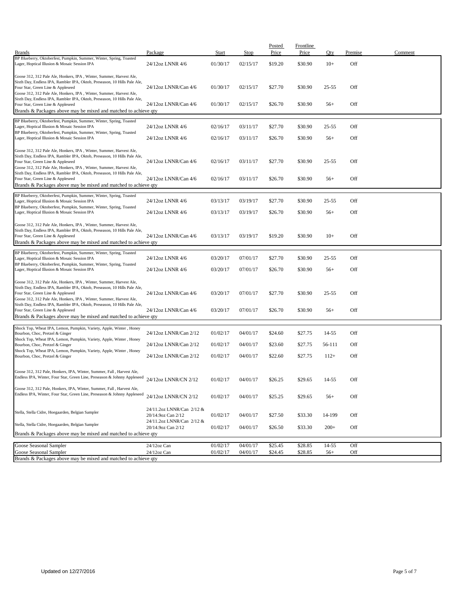| <b>Brands</b>                                                                                                                                                                                                                                                                                                                             | Package                                                                      | Start                | Stop                 | Posted<br>Price    | <b>Frontline</b><br>Price | Qty            | Premise    | Comment |
|-------------------------------------------------------------------------------------------------------------------------------------------------------------------------------------------------------------------------------------------------------------------------------------------------------------------------------------------|------------------------------------------------------------------------------|----------------------|----------------------|--------------------|---------------------------|----------------|------------|---------|
| BP Blueberry, Oktoberfest, Pumpkin, Summer, Winter, Spring, Toasted<br>Lager, Hoptical Illusion & Mosaic Session IPA                                                                                                                                                                                                                      | 24/12oz LNNR 4/6                                                             | 01/30/17             | 02/15/17             | \$19.20            | \$30.90                   | $10+$          | Off        |         |
|                                                                                                                                                                                                                                                                                                                                           |                                                                              |                      |                      |                    |                           |                |            |         |
| Goose 312, 312 Pale Ale, Honkers, IPA, Winter, Summer, Harvest Ale,<br>Sixth Day, Endless IPA, Rambler IPA, Oktob, Preseason, 10 Hills Pale Ale,<br>Four Star, Green Line & Appleseed<br>Goose 312, 312 Pale Ale, Honkers, IPA, Winter, Summer, Harvest Ale,                                                                              | 24/12oz LNNR/Can 4/6                                                         | 01/30/17             | 02/15/17             | \$27.70            | \$30.90                   | 25-55          | Off        |         |
| Sixth Day, Endless IPA, Rambler IPA, Oktob, Preseason, 10 Hills Pale Ale,<br>Four Star, Green Line & Appleseed<br>Brands & Packages above may be mixed and matched to achieve qty                                                                                                                                                         | 24/12oz LNNR/Can 4/6                                                         | 01/30/17             | 02/15/17             | \$26.70            | \$30.90                   | $56+$          | Off        |         |
| BP Blueberry, Oktoberfest, Pumpkin, Summer, Winter, Spring, Toasted<br>Lager, Hoptical Illusion & Mosaic Session IPA                                                                                                                                                                                                                      | 24/12oz LNNR 4/6                                                             | 02/16/17             | 03/11/17             | \$27.70            | \$30.90                   | 25-55          | Off        |         |
| BP Blueberry, Oktoberfest, Pumpkin, Summer, Winter, Spring, Toasted<br>Lager, Hoptical Illusion & Mosaic Session IPA                                                                                                                                                                                                                      | 24/12oz LNNR 4/6                                                             | 02/16/17             | 03/11/17             | \$26.70            | \$30.90                   | $56+$          | Off        |         |
| Goose 312, 312 Pale Ale, Honkers, IPA, Winter, Summer, Harvest Ale,<br>Sixth Day, Endless IPA, Rambler IPA, Oktob, Preseason, 10 Hills Pale Ale,<br>Four Star, Green Line & Appleseed                                                                                                                                                     | 24/12oz LNNR/Can 4/6                                                         | 02/16/17             | 03/11/17             | \$27.70            | \$30.90                   | $25 - 55$      | Off        |         |
| Goose 312, 312 Pale Ale, Honkers, IPA, Winter, Summer, Harvest Ale,<br>Sixth Day, Endless IPA, Rambler IPA, Oktob, Preseason, 10 Hills Pale Ale,<br>Four Star, Green Line & Appleseed<br>Brands & Packages above may be mixed and matched to achieve qty                                                                                  | 24/12oz LNNR/Can 4/6                                                         | 02/16/17             | 03/11/17             | \$26.70            | \$30.90                   | $56+$          | Off        |         |
| BP Blueberry, Oktoberfest, Pumpkin, Summer, Winter, Spring, Toasted<br>Lager, Hoptical Illusion & Mosaic Session IPA                                                                                                                                                                                                                      | 24/12oz LNNR 4/6                                                             | 03/13/17             | 03/19/17             | \$27.70            | \$30.90                   | 25-55          | Off        |         |
| BP Blueberry, Oktoberfest, Pumpkin, Summer, Winter, Spring, Toasted<br>Lager, Hoptical Illusion & Mosaic Session IPA                                                                                                                                                                                                                      | 24/12oz LNNR 4/6                                                             | 03/13/17             | 03/19/17             | \$26.70            | \$30.90                   | $56+$          | Off        |         |
| Goose 312, 312 Pale Ale, Honkers, IPA, Winter, Summer, Harvest Ale,<br>Sixth Day, Endless IPA, Rambler IPA, Oktob, Preseason, 10 Hills Pale Ale,<br>Four Star, Green Line & Appleseed<br>Brands & Packages above may be mixed and matched to achieve qty                                                                                  | 24/12oz LNNR/Can 4/6                                                         | 03/13/17             | 03/19/17             | \$19.20            | \$30.90                   | $10+$          | Off        |         |
| BP Blueberry, Oktoberfest, Pumpkin, Summer, Winter, Spring, Toasted                                                                                                                                                                                                                                                                       |                                                                              |                      |                      |                    |                           |                |            |         |
| Lager, Hoptical Illusion & Mosaic Session IPA<br>BP Blueberry, Oktoberfest, Pumpkin, Summer, Winter, Spring, Toasted                                                                                                                                                                                                                      | 24/12oz LNNR 4/6<br>24/12oz LNNR 4/6                                         | 03/20/17<br>03/20/17 | 07/01/17<br>07/01/17 | \$27.70<br>\$26.70 | \$30.90<br>\$30.90        | 25-55<br>$56+$ | Off<br>Off |         |
| Lager, Hoptical Illusion & Mosaic Session IPA                                                                                                                                                                                                                                                                                             |                                                                              |                      |                      |                    |                           |                |            |         |
| Goose 312, 312 Pale Ale, Honkers, IPA, Winter, Summer, Harvest Ale,<br>Sixth Day, Endless IPA, Rambler IPA, Oktob, Preseason, 10 Hills Pale Ale,<br>Four Star, Green Line & Appleseed<br>Goose 312, 312 Pale Ale, Honkers, IPA, Winter, Summer, Harvest Ale,<br>Sixth Day, Endless IPA, Rambler IPA, Oktob, Preseason, 10 Hills Pale Ale, | 24/12oz LNNR/Can 4/6                                                         | 03/20/17             | 07/01/17             | \$27.70            | \$30.90                   | 25-55          | Off        |         |
| Four Star, Green Line & Appleseed<br>Brands & Packages above may be mixed and matched to achieve qty                                                                                                                                                                                                                                      | 24/12oz LNNR/Can 4/6                                                         | 03/20/17             | 07/01/17             | \$26.70            | \$30.90                   | $56+$          | Off        |         |
|                                                                                                                                                                                                                                                                                                                                           |                                                                              |                      |                      |                    |                           |                |            |         |
| Shock Top, Wheat IPA, Lemon, Pumpkin, Variety, Apple, Winter, Honey<br>Bourbon, Choc, Pretzel & Ginger<br>Shock Top, Wheat IPA, Lemon, Pumpkin, Variety, Apple, Winter, Honey                                                                                                                                                             | 24/12oz LNNR/Can 2/12                                                        | 01/02/17             | 04/01/17             | \$24.60            | \$27.75                   | 14-55          | Off        |         |
| Bourbon, Choc, Pretzel & Ginger<br>Shock Top, Wheat IPA, Lemon, Pumpkin, Variety, Apple, Winter, Honey                                                                                                                                                                                                                                    | 24/12oz LNNR/Can 2/12                                                        | 01/02/17             | 04/01/17             | \$23.60            | \$27.75                   | 56-111         | Off        |         |
| Bourbon, Choc, Pretzel & Ginger                                                                                                                                                                                                                                                                                                           | 24/12oz LNNR/Can 2/12                                                        | 01/02/17             | 04/01/17             | \$22.60            | \$27.75                   | $112+$         | Off        |         |
| Goose 312, 312 Pale, Honkers, IPA, Winter, Summer, Fall, Harvest Ale,<br>Endless IPA, Winter, Four Star, Green Line, Preseason & Johnny Appleseed                                                                                                                                                                                         | 24/12oz LNNR/CN 2/12                                                         | 01/02/17             | 04/01/17             | \$26.25            | \$29.65                   | 14-55          | Off        |         |
| Goose 312, 312 Pale, Honkers, IPA, Winter, Summer, Fall, Harvest Ale,<br>Endless IPA, Winter, Four Star, Green Line, Preseason & Johnny Appleseed                                                                                                                                                                                         | 24/12oz LNNR/CN 2/12                                                         | 01/02/17             | 04/01/17             | \$25.25            | \$29.65                   | $56+$          | Off        |         |
| Stella, Stella Cidre, Hoegaarden, Belgian Sampler                                                                                                                                                                                                                                                                                         | 24/11.2oz LNNR/Can 2/12 &<br>20/14.9oz Can 2/12<br>24/11.2oz LNNR/Can 2/12 & | 01/02/17             | 04/01/17             | \$27.50            | \$33.30                   | 14-199         | Off        |         |
| Stella, Stella Cidre, Hoegaarden, Belgian Sampler                                                                                                                                                                                                                                                                                         | 20/14.9oz Can 2/12                                                           | 01/02/17             | 04/01/17             | \$26.50            | \$33.30                   | $200+$         | Off        |         |
| Brands & Packages above may be mixed and matched to achieve qty                                                                                                                                                                                                                                                                           |                                                                              |                      |                      |                    |                           |                |            |         |
| Goose Seasonal Sampler                                                                                                                                                                                                                                                                                                                    | 24/12oz Can                                                                  | 01/02/17             | 04/01/17             | \$25.45            | \$28.85                   | $14 - 55$      | Off        |         |
| Goose Seasonal Sampler<br>Brands & Packages above may be mixed and matched to achieve qty                                                                                                                                                                                                                                                 | $24/12$ oz Can                                                               | 01/02/17             | 04/01/17             | \$24.45            | \$28.85                   | $56+$          | Off        |         |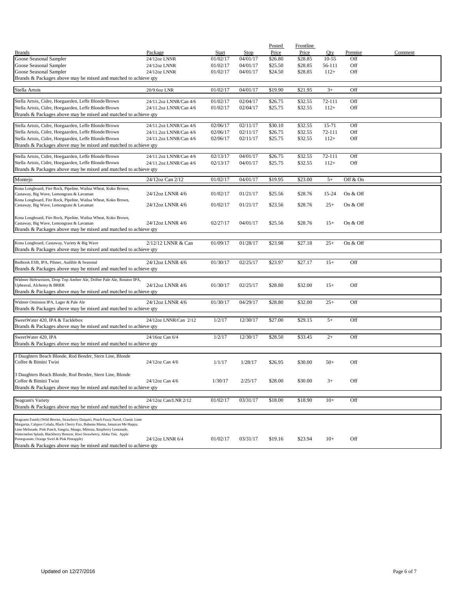|                                                                                                                          |                        |          |          | Posted  | Frontline |           |          |         |
|--------------------------------------------------------------------------------------------------------------------------|------------------------|----------|----------|---------|-----------|-----------|----------|---------|
| <b>Brands</b>                                                                                                            | Package                | Start    | Stop     | Price   | Price     | Qty       | Premise  | Comment |
| Goose Seasonal Sampler                                                                                                   | 24/12oz LNNR           | 01/02/17 | 04/01/17 | \$26.80 | \$28.85   | $10 - 55$ | Off      |         |
| Goose Seasonal Sampler                                                                                                   | 24/12oz LNNR           | 01/02/17 | 04/01/17 | \$25.50 | \$28.85   | 56-111    | Off      |         |
| Goose Seasonal Sampler                                                                                                   | 24/12oz LNNR           | 01/02/17 | 04/01/17 | \$24.50 | \$28.85   | $112+$    | Off      |         |
| Brands & Packages above may be mixed and matched to achieve qty                                                          |                        |          |          |         |           |           |          |         |
|                                                                                                                          |                        |          |          |         |           |           |          |         |
| Stella Artois                                                                                                            | 20/9.6oz LNR           | 01/02/17 | 04/01/17 | \$19.90 | \$21.95   | $3+$      | Off      |         |
| Stella Artois, Cidre, Hoegaarden, Leffe Blonde/Brown                                                                     | 24/11.2oz LNNR/Can 4/6 | 01/02/17 | 02/04/17 | \$26.75 | \$32.55   | 72-111    | Off      |         |
| Stella Artois, Cidre, Hoegaarden, Leffe Blonde/Brown                                                                     | 24/11.2oz LNNR/Can 4/6 | 01/02/17 | 02/04/17 | \$25.75 | \$32.55   | $112+$    | Off      |         |
| Brands & Packages above may be mixed and matched to achieve qty                                                          |                        |          |          |         |           |           |          |         |
|                                                                                                                          |                        |          |          |         |           |           |          |         |
| Stella Artois, Cidre, Hoegaarden, Leffe Blonde/Brown                                                                     | 24/11.2oz LNNR/Can 4/6 | 02/06/17 | 02/11/17 | \$30.10 | \$32.55   | 15-71     | Off      |         |
| Stella Artois, Cidre, Hoegaarden, Leffe Blonde/Brown                                                                     | 24/11.2oz LNNR/Can 4/6 | 02/06/17 | 02/11/17 | \$26.75 | \$32.55   | 72-111    | Off      |         |
| Stella Artois, Cidre, Hoegaarden, Leffe Blonde/Brown                                                                     | 24/11.2oz LNNR/Can 4/6 | 02/06/17 | 02/11/17 | \$25.75 | \$32.55   | $112+$    | Off      |         |
| Brands & Packages above may be mixed and matched to achieve qty                                                          |                        |          |          |         |           |           |          |         |
|                                                                                                                          |                        |          |          |         |           |           |          |         |
| Stella Artois, Cidre, Hoegaarden, Leffe Blonde/Brown                                                                     | 24/11.2oz LNNR/Can 4/6 | 02/13/17 | 04/01/17 | \$26.75 | \$32.55   | 72-111    | Off      |         |
| Stella Artois, Cidre, Hoegaarden, Leffe Blonde/Brown                                                                     | 24/11.2oz LNNR/Can 4/6 | 02/13/17 | 04/01/17 | \$25.75 | \$32.55   | $112+$    | Off      |         |
| Brands & Packages above may be mixed and matched to achieve qty                                                          |                        |          |          |         |           |           |          |         |
| Montejo                                                                                                                  | 24/12oz Can 2/12       | 01/02/17 | 04/01/17 | \$19.95 | \$23.00   | $5+$      | Off & On |         |
|                                                                                                                          |                        |          |          |         |           |           |          |         |
| Kona Longboard, Fire Rock, Pipeline, Wailua Wheat, Koko Brown,                                                           |                        |          |          |         |           |           |          |         |
| Castaway, Big Wave, Lemongrass & Lavaman                                                                                 | 24/12oz LNNR 4/6       | 01/02/17 | 01/21/17 | \$25.56 | \$28.76   | 15-24     | On & Off |         |
| Kona Longboard, Fire Rock, Pipeline, Wailua Wheat, Koko Brown,                                                           | 24/12oz LNNR 4/6       | 01/02/17 | 01/21/17 | \$23.56 | \$28.76   | $25+$     | On & Off |         |
| Castaway, Big Wave, Lemongrass & Lavaman                                                                                 |                        |          |          |         |           |           |          |         |
| Kona Longboard, Fire Rock, Pipeline, Wailua Wheat, Koko Brown,                                                           |                        |          |          |         |           |           |          |         |
| Castaway, Big Wave, Lemongrass & Lavaman                                                                                 | 24/12oz LNNR 4/6       | 02/27/17 | 04/01/17 | \$25.56 | \$28.76   | $15+$     | On & Off |         |
| Brands & Packages above may be mixed and matched to achieve qty                                                          |                        |          |          |         |           |           |          |         |
|                                                                                                                          |                        |          |          |         |           |           |          |         |
| Kona Longboard, Castaway, Variety & Big Wave                                                                             | 2/12/12 LNNR & Can     | 01/09/17 | 01/28/17 | \$23.98 | \$27.18   | $25+$     | On & Off |         |
| Brands & Packages above may be mixed and matched to achieve qty                                                          |                        |          |          |         |           |           |          |         |
|                                                                                                                          |                        |          |          |         |           |           |          |         |
| Redhook ESB, IPA, Pilsner, Audible & Seasonal                                                                            | 24/12oz LNNR 4/6       | 01/30/17 | 02/25/17 | \$23.97 | \$27.17   | $15+$     | Off      |         |
| Brands & Packages above may be mixed and matched to achieve qty                                                          |                        |          |          |         |           |           |          |         |
|                                                                                                                          |                        |          |          |         |           |           |          |         |
| Widmer Hefeweizen, Drop Top Amber Ale, Drifter Pale Ale, Rotator IPA,                                                    |                        |          |          |         |           |           |          |         |
| Upheaval, Alchemy & BRRR                                                                                                 | 24/12oz LNNR 4/6       | 01/30/17 | 02/25/17 | \$28.80 | \$32.00   | $15+$     | Off      |         |
| Brands & Packages above may be mixed and matched to achieve qty                                                          |                        |          |          |         |           |           |          |         |
| Widmer Omission IPA, Lager & Pale Ale                                                                                    | 24/12oz LNNR 4/6       | 01/30/17 | 04/29/17 | \$28.80 | \$32.00   | $25+$     | Off      |         |
| Brands & Packages above may be mixed and matched to achieve qty                                                          |                        |          |          |         |           |           |          |         |
|                                                                                                                          |                        |          |          |         |           |           |          |         |
| SweetWater 420, IPA & Tacklebox                                                                                          | 24/12oz LNNR/Can 2/12  | 1/2/17   | 12/30/17 | \$27.00 | \$29.15   | $5+$      | Off      |         |
| Brands & Packages above may be mixed and matched to achieve qty                                                          |                        |          |          |         |           |           |          |         |
|                                                                                                                          |                        |          |          |         |           |           |          |         |
| SweetWater 420, IPA                                                                                                      | 24/16oz Can 6/4        | 1/2/17   | 12/30/17 | \$28.50 | \$33.45   | $2+$      | Off      |         |
| Brands & Packages above may be mixed and matched to achieve qty                                                          |                        |          |          |         |           |           |          |         |
|                                                                                                                          |                        |          |          |         |           |           |          |         |
| 3 Daughters Beach Blonde, Rod Bender, Stern Line, Blonde                                                                 |                        |          |          |         |           |           |          |         |
| Coffee & Bimini Twist                                                                                                    | 24/12oz Can 4/6        | 1/1/17   | 1/28/17  | \$26.95 | \$30.00   | $50+$     | Off      |         |
|                                                                                                                          |                        |          |          |         |           |           |          |         |
| 3 Daughters Beach Blonde, Rod Bender, Stern Line, Blonde<br>Coffee & Bimini Twist                                        | 24/12oz Can 4/6        | 1/30/17  | 2/25/17  | \$28.00 | \$30.00   | $3+$      | Off      |         |
| Brands & Packages above may be mixed and matched to achieve qty                                                          |                        |          |          |         |           |           |          |         |
|                                                                                                                          |                        |          |          |         |           |           |          |         |
| Seagram's Variety                                                                                                        | 24/12oz Can/LNR 2/12   | 01/02/17 | 03/31/17 | \$18.00 | \$18.90   | $10+$     | Off      |         |
| Brands & Packages above may be mixed and matched to achieve qty                                                          |                        |          |          |         |           |           |          |         |
|                                                                                                                          |                        |          |          |         |           |           |          |         |
| Seagrams Family (Wild Berries, Strawberry Daiquiri, Peach Fuzzy Navel, Classic Lime                                      |                        |          |          |         |           |           |          |         |
| Margarita, Calypso Colada, Black Cherry Fizz, Bahama Mama, Jamaican Me Happy,                                            |                        |          |          |         |           |           |          |         |
| Lime Melonade, Pink Punch, Sangria, Mango, Mimosa, Raspberry Lemonade,                                                   |                        |          |          |         |           |           |          |         |
| Watermelon Splash, Blackberry Breezer, Kiwi Strawberry, Aloha Tini, Apple<br>Pomegranate, Orange Swirl & Pink Pineapple) | 24/12oz LNNR 6/4       | 01/02/17 | 03/31/17 | \$19.16 | \$23.94   | $10+$     | Off      |         |
| Brands & Packages above may be mixed and matched to achieve qty                                                          |                        |          |          |         |           |           |          |         |
|                                                                                                                          |                        |          |          |         |           |           |          |         |